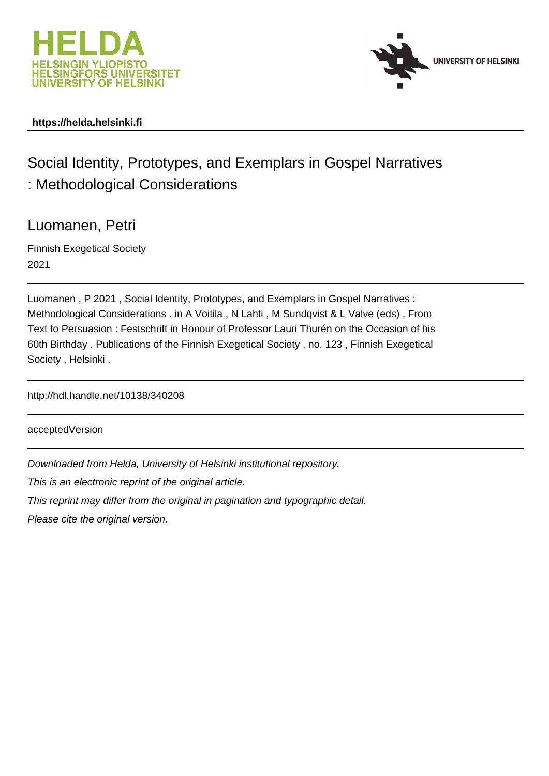



## **https://helda.helsinki.fi**

# Social Identity, Prototypes, and Exemplars in Gospel Narratives : Methodological Considerations

## Luomanen, Petri

Finnish Exegetical Society 2021

Luomanen , P 2021 , Social Identity, Prototypes, and Exemplars in Gospel Narratives : Methodological Considerations . in A Voitila , N Lahti , M Sundqvist & L Valve (eds) , From Text to Persuasion : Festschrift in Honour of Professor Lauri Thurén on the Occasion of his 60th Birthday . Publications of the Finnish Exegetical Society , no. 123 , Finnish Exegetical Society , Helsinki .

http://hdl.handle.net/10138/340208

acceptedVersion

Downloaded from Helda, University of Helsinki institutional repository.

This is an electronic reprint of the original article.

This reprint may differ from the original in pagination and typographic detail.

Please cite the original version.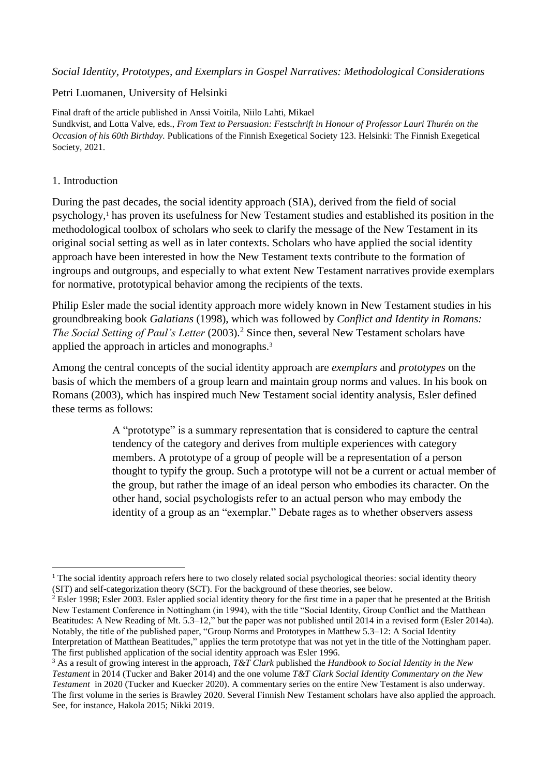#### *Social Identity, Prototypes, and Exemplars in Gospel Narratives: Methodological Considerations*

#### Petri Luomanen, University of Helsinki

Final draft of the article published in Anssi Voitila, Niilo Lahti, Mikael Sundkvist, and Lotta Valve, eds., *From Text to Persuasion: Festschrift in Honour of Professor Lauri Thurén on the Occasion of his 60th Birthday.* Publications of the Finnish Exegetical Society 123. Helsinki: The Finnish Exegetical Society, 2021.

#### 1. Introduction

During the past decades, the social identity approach (SIA), derived from the field of social psychology,<sup>1</sup> has proven its usefulness for New Testament studies and established its position in the methodological toolbox of scholars who seek to clarify the message of the New Testament in its original social setting as well as in later contexts. Scholars who have applied the social identity approach have been interested in how the New Testament texts contribute to the formation of ingroups and outgroups, and especially to what extent New Testament narratives provide exemplars for normative, prototypical behavior among the recipients of the texts.

Philip Esler made the social identity approach more widely known in New Testament studies in his groundbreaking book *Galatians* (1998), which was followed by *Conflict and Identity in Romans: The Social Setting of Paul's Letter* (2003). <sup>2</sup> Since then, several New Testament scholars have applied the approach in articles and monographs.<sup>3</sup>

Among the central concepts of the social identity approach are *exemplars* and *prototypes* on the basis of which the members of a group learn and maintain group norms and values. In his book on Romans (2003), which has inspired much New Testament social identity analysis, Esler defined these terms as follows:

> A "prototype" is a summary representation that is considered to capture the central tendency of the category and derives from multiple experiences with category members. A prototype of a group of people will be a representation of a person thought to typify the group. Such a prototype will not be a current or actual member of the group, but rather the image of an ideal person who embodies its character. On the other hand, social psychologists refer to an actual person who may embody the identity of a group as an "exemplar." Debate rages as to whether observers assess

<sup>&</sup>lt;u>.</u> <sup>1</sup> The social identity approach refers here to two closely related social psychological theories: social identity theory (SIT) and self-categorization theory (SCT). For the background of these theories, see below.

<sup>&</sup>lt;sup>2</sup> Esler 1998; Esler 2003. Esler applied social identity theory for the first time in a paper that he presented at the British New Testament Conference in Nottingham (in 1994), with the title "Social Identity, Group Conflict and the Matthean Beatitudes: A New Reading of Mt. 5.3–12," but the paper was not published until 2014 in a revised form (Esler 2014a). Notably, the title of the published paper, "Group Norms and Prototypes in Matthew 5.3–12: A Social Identity Interpretation of Matthean Beatitudes," applies the term prototype that was not yet in the title of the Nottingham paper. The first published application of the social identity approach was Esler 1996.

<sup>3</sup> As a result of growing interest in the approach, *T&T Clark* published the *Handbook to Social Identity in the New Testament* in 2014 (Tucker and Baker 2014) and the one volume *T&T Clark Social Identity Commentary on the New Testament* in 2020 (Tucker and Kuecker 2020). A commentary series on the entire New Testament is also underway. The first volume in the series is Brawley 2020. Several Finnish New Testament scholars have also applied the approach. See, for instance, Hakola 2015; Nikki 2019.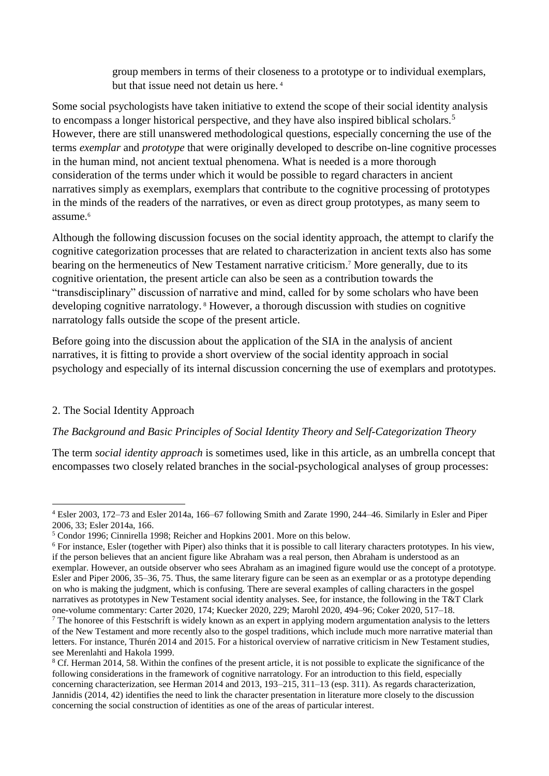group members in terms of their closeness to a prototype or to individual exemplars, but that issue need not detain us here. <sup>4</sup>

Some social psychologists have taken initiative to extend the scope of their social identity analysis to encompass a longer historical perspective, and they have also inspired biblical scholars.<sup>5</sup> However, there are still unanswered methodological questions, especially concerning the use of the terms *exemplar* and *prototype* that were originally developed to describe on-line cognitive processes in the human mind, not ancient textual phenomena. What is needed is a more thorough consideration of the terms under which it would be possible to regard characters in ancient narratives simply as exemplars, exemplars that contribute to the cognitive processing of prototypes in the minds of the readers of the narratives, or even as direct group prototypes, as many seem to assume.<sup>6</sup>

Although the following discussion focuses on the social identity approach, the attempt to clarify the cognitive categorization processes that are related to characterization in ancient texts also has some bearing on the hermeneutics of New Testament narrative criticism.<sup>7</sup> More generally, due to its cognitive orientation, the present article can also be seen as a contribution towards the "transdisciplinary" discussion of narrative and mind, called for by some scholars who have been developing cognitive narratology. <sup>8</sup> However, a thorough discussion with studies on cognitive narratology falls outside the scope of the present article.

Before going into the discussion about the application of the SIA in the analysis of ancient narratives, it is fitting to provide a short overview of the social identity approach in social psychology and especially of its internal discussion concerning the use of exemplars and prototypes.

#### 2. The Social Identity Approach

#### *The Background and Basic Principles of Social Identity Theory and Self-Categorization Theory*

The term *social identity approach* is sometimes used, like in this article, as an umbrella concept that encompasses two closely related branches in the social-psychological analyses of group processes:

<sup>&</sup>lt;u>.</u> <sup>4</sup> Esler 2003, 172–73 and Esler 2014a, 166–67 following Smith and Zarate 1990, 244–46. Similarly in Esler and Piper 2006, 33; Esler 2014a, 166.

<sup>5</sup> Condor 1996; Cinnirella 1998; Reicher and Hopkins 2001. More on this below.

<sup>&</sup>lt;sup>6</sup> For instance, Esler (together with Piper) also thinks that it is possible to call literary characters prototypes. In his view, if the person believes that an ancient figure like Abraham was a real person, then Abraham is understood as an exemplar. However, an outside observer who sees Abraham as an imagined figure would use the concept of a prototype. Esler and Piper 2006, 35–36, 75. Thus, the same literary figure can be seen as an exemplar or as a prototype depending on who is making the judgment, which is confusing. There are several examples of calling characters in the gospel narratives as prototypes in New Testament social identity analyses. See, for instance, the following in the T&T Clark one-volume commentary: Carter 2020, 174; Kuecker 2020, 229; Marohl 2020, 494–96; Coker 2020, 517–18.

 $<sup>7</sup>$  The honoree of this Festschrift is widely known as an expert in applying modern argumentation analysis to the letters</sup> of the New Testament and more recently also to the gospel traditions, which include much more narrative material than letters. For instance, Thurén 2014 and 2015. For a historical overview of narrative criticism in New Testament studies, see Merenlahti and Hakola 1999.

<sup>8</sup> Cf. Herman 2014, 58. Within the confines of the present article, it is not possible to explicate the significance of the following considerations in the framework of cognitive narratology. For an introduction to this field, especially concerning characterization, see Herman 2014 and 2013, 193–215, 311–13 (esp. 311). As regards characterization, Jannidis (2014, 42) identifies the need to link the character presentation in literature more closely to the discussion concerning the social construction of identities as one of the areas of particular interest.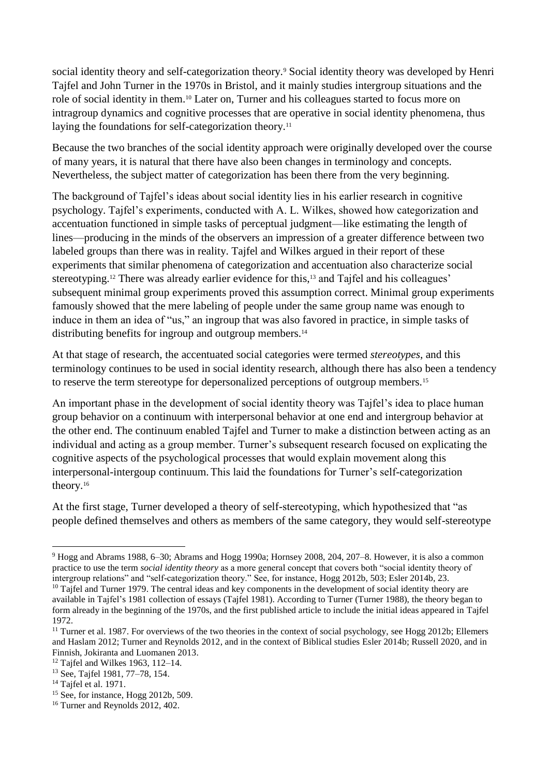social identity theory and self-categorization theory.<sup>9</sup> Social identity theory was developed by Henri Tajfel and John Turner in the 1970s in Bristol, and it mainly studies intergroup situations and the role of social identity in them.<sup>10</sup> Later on, Turner and his colleagues started to focus more on intragroup dynamics and cognitive processes that are operative in social identity phenomena, thus laying the foundations for self-categorization theory.<sup>11</sup>

Because the two branches of the social identity approach were originally developed over the course of many years, it is natural that there have also been changes in terminology and concepts. Nevertheless, the subject matter of categorization has been there from the very beginning.

The background of Tajfel's ideas about social identity lies in his earlier research in cognitive psychology. Tajfel's experiments, conducted with A. L. Wilkes, showed how categorization and accentuation functioned in simple tasks of perceptual judgment—like estimating the length of lines—producing in the minds of the observers an impression of a greater difference between two labeled groups than there was in reality. Tajfel and Wilkes argued in their report of these experiments that similar phenomena of categorization and accentuation also characterize social stereotyping.<sup>12</sup> There was already earlier evidence for this,<sup>13</sup> and Tajfel and his colleagues' subsequent minimal group experiments proved this assumption correct. Minimal group experiments famously showed that the mere labeling of people under the same group name was enough to induce in them an idea of "us," an ingroup that was also favored in practice, in simple tasks of distributing benefits for ingroup and outgroup members.<sup>14</sup>

At that stage of research, the accentuated social categories were termed *stereotypes*, and this terminology continues to be used in social identity research, although there has also been a tendency to reserve the term stereotype for depersonalized perceptions of outgroup members.<sup>15</sup>

An important phase in the development of social identity theory was Tajfel's idea to place human group behavior on a continuum with interpersonal behavior at one end and intergroup behavior at the other end. The continuum enabled Tajfel and Turner to make a distinction between acting as an individual and acting as a group member. Turner's subsequent research focused on explicating the cognitive aspects of the psychological processes that would explain movement along this interpersonal-intergoup continuum.This laid the foundations for Turner's self-categorization theory.<sup>16</sup>

At the first stage, Turner developed a theory of self-stereotyping, which hypothesized that "as people defined themselves and others as members of the same category, they would self-stereotype

<sup>9</sup> Hogg and Abrams 1988, 6–30; Abrams and Hogg 1990a; Hornsey 2008, 204, 207–8. However, it is also a common practice to use the term *social identity theory* as a more general concept that covers both "social identity theory of intergroup relations" and "self-categorization theory." See, for instance, Hogg 2012b, 503; Esler 2014b, 23.

<sup>&</sup>lt;sup>10</sup> Tajfel and Turner 1979. The central ideas and key components in the development of social identity theory are available in Tajfel's 1981 collection of essays (Tajfel 1981). According to Turner (Turner 1988), the theory began to form already in the beginning of the 1970s, and the first published article to include the initial ideas appeared in Tajfel 1972.

<sup>&</sup>lt;sup>11</sup> Turner et al. 1987. For overviews of the two theories in the context of social psychology, see Hogg 2012b; Ellemers and Haslam 2012; Turner and Reynolds 2012, and in the context of Biblical studies Esler 2014b; Russell 2020, and in Finnish, Jokiranta and Luomanen 2013.

<sup>12</sup> Tajfel and Wilkes 1963, 112–14.

<sup>13</sup> See, Tajfel 1981, 77–78, 154.

 $14$  Tajfel et al. 1971.

<sup>15</sup> See, for instance, Hogg 2012b, 509.

<sup>&</sup>lt;sup>16</sup> Turner and Reynolds 2012, 402.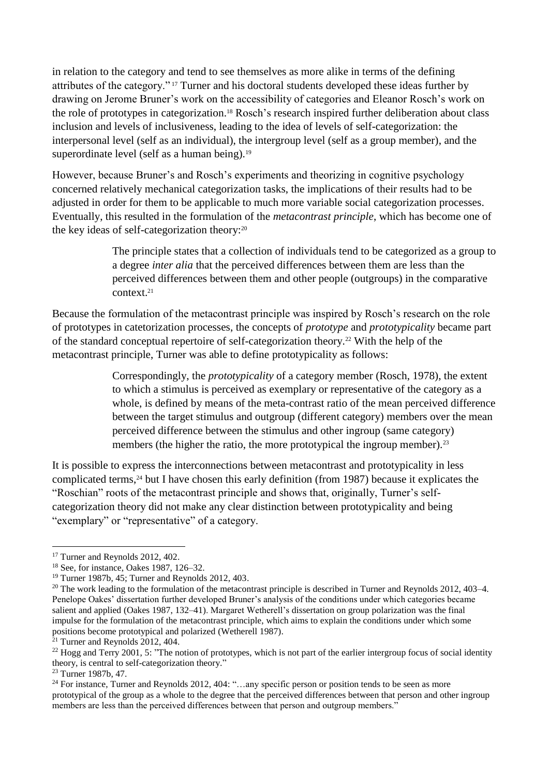in relation to the category and tend to see themselves as more alike in terms of the defining attributes of the category." <sup>17</sup> Turner and his doctoral students developed these ideas further by drawing on Jerome Bruner's work on the accessibility of categories and Eleanor Rosch's work on the role of prototypes in categorization.<sup>18</sup> Rosch's research inspired further deliberation about class inclusion and levels of inclusiveness, leading to the idea of levels of self-categorization: the interpersonal level (self as an individual), the intergroup level (self as a group member), and the superordinate level (self as a human being). $19$ 

However, because Bruner's and Rosch's experiments and theorizing in cognitive psychology concerned relatively mechanical categorization tasks, the implications of their results had to be adjusted in order for them to be applicable to much more variable social categorization processes. Eventually, this resulted in the formulation of the *metacontrast principle*, which has become one of the key ideas of self-categorization theory:<sup>20</sup>

> The principle states that a collection of individuals tend to be categorized as a group to a degree *inter alia* that the perceived differences between them are less than the perceived differences between them and other people (outgroups) in the comparative context.<sup>21</sup>

Because the formulation of the metacontrast principle was inspired by Rosch's research on the role of prototypes in catetorization processes, the concepts of *prototype* and *prototypicality* became part of the standard conceptual repertoire of self-categorization theory.<sup>22</sup> With the help of the metacontrast principle, Turner was able to define prototypicality as follows:

> Correspondingly, the *prototypicality* of a category member (Rosch, 1978), the extent to which a stimulus is perceived as exemplary or representative of the category as a whole, is defined by means of the meta-contrast ratio of the mean perceived difference between the target stimulus and outgroup (different category) members over the mean perceived difference between the stimulus and other ingroup (same category) members (the higher the ratio, the more prototypical the ingroup member).<sup>23</sup>

It is possible to express the interconnections between metacontrast and prototypicality in less complicated terms,<sup>24</sup> but I have chosen this early definition (from 1987) because it explicates the "Roschian" roots of the metacontrast principle and shows that, originally, Turner's selfcategorization theory did not make any clear distinction between prototypicality and being "exemplary" or "representative" of a category.

<sup>&</sup>lt;sup>17</sup> Turner and Reynolds 2012, 402.

<sup>18</sup> See, for instance, Oakes 1987, 126–32.

<sup>19</sup> Turner 1987b, 45; Turner and Reynolds 2012, 403.

<sup>&</sup>lt;sup>20</sup> The work leading to the formulation of the metacontrast principle is described in Turner and Reynolds 2012, 403–4. Penelope Oakes' dissertation further developed Bruner's analysis of the conditions under which categories became salient and applied (Oakes 1987, 132–41). Margaret Wetherell's dissertation on group polarization was the final impulse for the formulation of the metacontrast principle, which aims to explain the conditions under which some positions become prototypical and polarized (Wetherell 1987).

 $2^{21}$  Turner and Reynolds 2012, 404.

<sup>&</sup>lt;sup>22</sup> Hogg and Terry 2001, 5: "The notion of prototypes, which is not part of the earlier intergroup focus of social identity theory, is central to self-categorization theory."

<sup>23</sup> Turner 1987b, 47.

<sup>&</sup>lt;sup>24</sup> For instance, Turner and Reynolds 2012, 404: "...any specific person or position tends to be seen as more prototypical of the group as a whole to the degree that the perceived differences between that person and other ingroup members are less than the perceived differences between that person and outgroup members."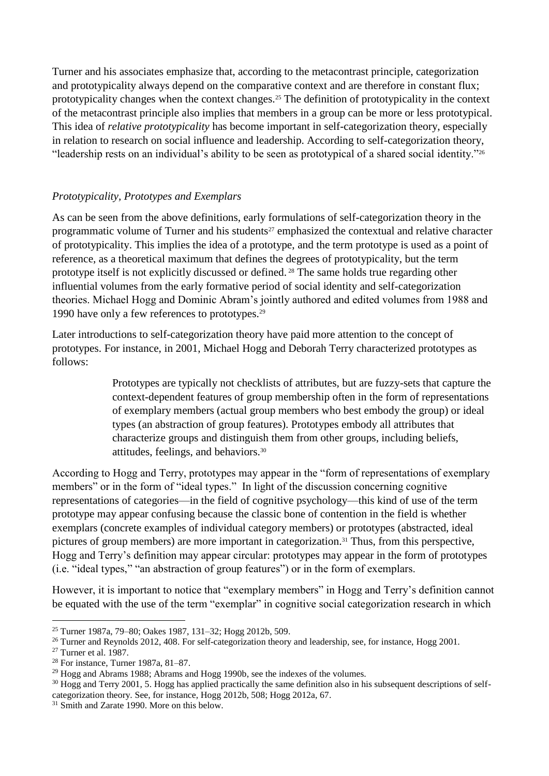Turner and his associates emphasize that, according to the metacontrast principle, categorization and prototypicality always depend on the comparative context and are therefore in constant flux; prototypicality changes when the context changes.<sup>25</sup> The definition of prototypicality in the context of the metacontrast principle also implies that members in a group can be more or less prototypical. This idea of *relative prototypicality* has become important in self-categorization theory, especially in relation to research on social influence and leadership. According to self-categorization theory, "leadership rests on an individual's ability to be seen as prototypical of a shared social identity."<sup>26</sup>

## *Prototypicality, Prototypes and Exemplars*

As can be seen from the above definitions, early formulations of self-categorization theory in the programmatic volume of Turner and his students<sup>27</sup> emphasized the contextual and relative character of prototypicality. This implies the idea of a prototype, and the term prototype is used as a point of reference, as a theoretical maximum that defines the degrees of prototypicality, but the term prototype itself is not explicitly discussed or defined. <sup>28</sup> The same holds true regarding other influential volumes from the early formative period of social identity and self-categorization theories. Michael Hogg and Dominic Abram's jointly authored and edited volumes from 1988 and 1990 have only a few references to prototypes.<sup>29</sup>

Later introductions to self-categorization theory have paid more attention to the concept of prototypes. For instance, in 2001, Michael Hogg and Deborah Terry characterized prototypes as follows:

> Prototypes are typically not checklists of attributes, but are fuzzy-sets that capture the context-dependent features of group membership often in the form of representations of exemplary members (actual group members who best embody the group) or ideal types (an abstraction of group features). Prototypes embody all attributes that characterize groups and distinguish them from other groups, including beliefs, attitudes, feelings, and behaviors.<sup>30</sup>

According to Hogg and Terry, prototypes may appear in the "form of representations of exemplary members" or in the form of "ideal types." In light of the discussion concerning cognitive representations of categories—in the field of cognitive psychology—this kind of use of the term prototype may appear confusing because the classic bone of contention in the field is whether exemplars (concrete examples of individual category members) or prototypes (abstracted, ideal pictures of group members) are more important in categorization.<sup>31</sup> Thus, from this perspective, Hogg and Terry's definition may appear circular: prototypes may appear in the form of prototypes (i.e. "ideal types," "an abstraction of group features") or in the form of exemplars.

However, it is important to notice that "exemplary members" in Hogg and Terry's definition cannot be equated with the use of the term "exemplar" in cognitive social categorization research in which

<sup>25</sup> Turner 1987a, 79–80; Oakes 1987, 131–32; Hogg 2012b, 509.

<sup>&</sup>lt;sup>26</sup> Turner and Reynolds 2012, 408. For self-categorization theory and leadership, see, for instance, Hogg 2001.

 $27$  Turner et al. 1987.

<sup>28</sup> For instance, Turner 1987a, 81–87.

<sup>29</sup> Hogg and Abrams 1988; Abrams and Hogg 1990b, see the indexes of the volumes.

<sup>&</sup>lt;sup>30</sup> Hogg and Terry 2001, 5. Hogg has applied practically the same definition also in his subsequent descriptions of selfcategorization theory. See, for instance, Hogg 2012b, 508; Hogg 2012a, 67.

<sup>&</sup>lt;sup>31</sup> Smith and Zarate 1990. More on this below.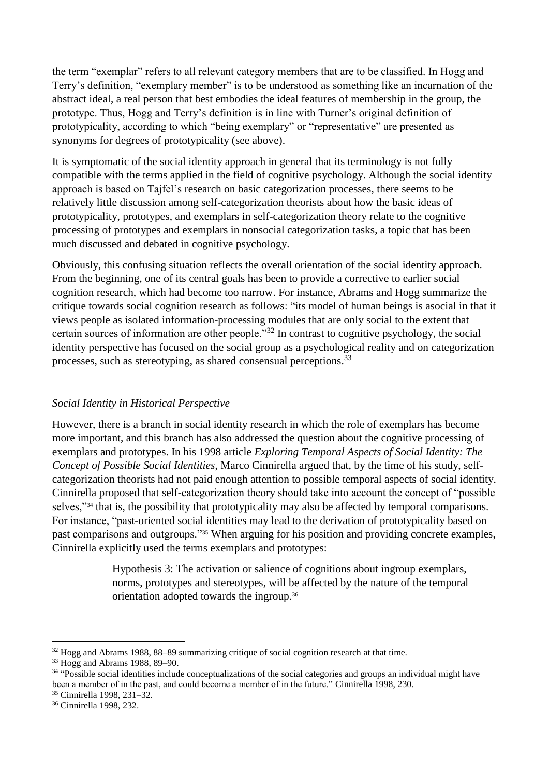the term "exemplar" refers to all relevant category members that are to be classified. In Hogg and Terry's definition, "exemplary member" is to be understood as something like an incarnation of the abstract ideal, a real person that best embodies the ideal features of membership in the group, the prototype. Thus, Hogg and Terry's definition is in line with Turner's original definition of prototypicality, according to which "being exemplary" or "representative" are presented as synonyms for degrees of prototypicality (see above).

It is symptomatic of the social identity approach in general that its terminology is not fully compatible with the terms applied in the field of cognitive psychology. Although the social identity approach is based on Tajfel's research on basic categorization processes, there seems to be relatively little discussion among self-categorization theorists about how the basic ideas of prototypicality, prototypes, and exemplars in self-categorization theory relate to the cognitive processing of prototypes and exemplars in nonsocial categorization tasks, a topic that has been much discussed and debated in cognitive psychology.

Obviously, this confusing situation reflects the overall orientation of the social identity approach. From the beginning, one of its central goals has been to provide a corrective to earlier social cognition research, which had become too narrow. For instance, Abrams and Hogg summarize the critique towards social cognition research as follows: "its model of human beings is asocial in that it views people as isolated information-processing modules that are only social to the extent that certain sources of information are other people."<sup>32</sup> In contrast to cognitive psychology, the social identity perspective has focused on the social group as a psychological reality and on categorization processes, such as stereotyping, as shared consensual perceptions.<sup>33</sup>

## *Social Identity in Historical Perspective*

However, there is a branch in social identity research in which the role of exemplars has become more important, and this branch has also addressed the question about the cognitive processing of exemplars and prototypes. In his 1998 article *Exploring Temporal Aspects of Social Identity: The Concept of Possible Social Identities*, Marco Cinnirella argued that, by the time of his study, selfcategorization theorists had not paid enough attention to possible temporal aspects of social identity. Cinnirella proposed that self-categorization theory should take into account the concept of "possible selves,"<sup>34</sup> that is, the possibility that prototypicality may also be affected by temporal comparisons. For instance, "past-oriented social identities may lead to the derivation of prototypicality based on past comparisons and outgroups."<sup>35</sup> When arguing for his position and providing concrete examples, Cinnirella explicitly used the terms exemplars and prototypes:

> Hypothesis 3: The activation or salience of cognitions about ingroup exemplars, norms, prototypes and stereotypes, will be affected by the nature of the temporal orientation adopted towards the ingroup.<sup>36</sup>

<sup>35</sup> Cinnirella 1998, 231–32.

<sup>&</sup>lt;sup>32</sup> Hogg and Abrams 1988, 88–89 summarizing critique of social cognition research at that time.

<sup>33</sup> Hogg and Abrams 1988, 89–90.

<sup>&</sup>lt;sup>34</sup> "Possible social identities include conceptualizations of the social categories and groups an individual might have been a member of in the past, and could become a member of in the future." Cinnirella 1998, 230.

<sup>36</sup> Cinnirella 1998, 232.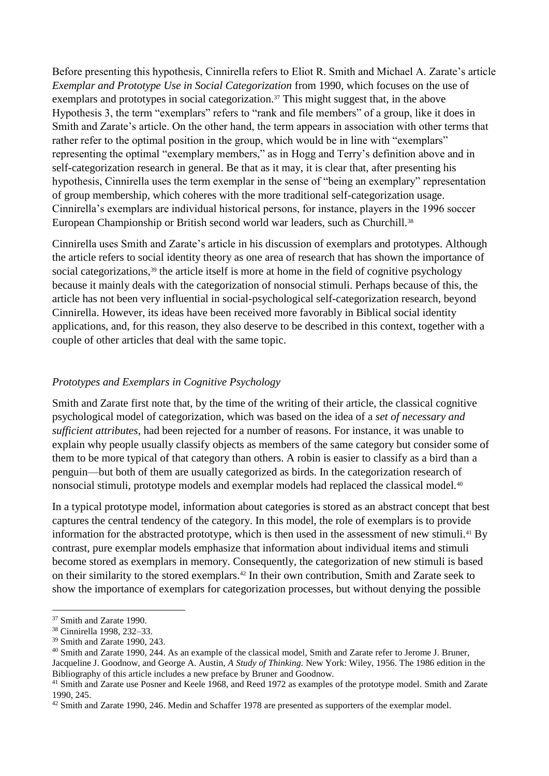Before presenting this hypothesis, Cinnirella refers to Eliot R. Smith and Michael A. Zarate's article *Exemplar and Prototype Use in Social Categorization* from 1990, which focuses on the use of exemplars and prototypes in social categorization.<sup>37</sup> This might suggest that, in the above Hypothesis 3, the term "exemplars" refers to "rank and file members" of a group, like it does in Smith and Zarate's article. On the other hand, the term appears in association with other terms that rather refer to the optimal position in the group, which would be in line with "exemplars" representing the optimal "exemplary members," as in Hogg and Terry's definition above and in self-categorization research in general. Be that as it may, it is clear that, after presenting his hypothesis, Cinnirella uses the term exemplar in the sense of "being an exemplary" representation of group membership, which coheres with the more traditional self-categorization usage. Cinnirella's exemplars are individual historical persons, for instance, players in the 1996 soccer European Championship or British second world war leaders, such as Churchill.<sup>38</sup>

Cinnirella uses Smith and Zarate's article in his discussion of exemplars and prototypes. Although the article refers to social identity theory as one area of research that has shown the importance of social categorizations,<sup>39</sup> the article itself is more at home in the field of cognitive psychology because it mainly deals with the categorization of nonsocial stimuli. Perhaps because of this, the article has not been very influential in social-psychological self-categorization research, beyond Cinnirella. However, its ideas have been received more favorably in Biblical social identity applications, and, for this reason, they also deserve to be described in this context, together with a couple of other articles that deal with the same topic.

## *Prototypes and Exemplars in Cognitive Psychology*

Smith and Zarate first note that, by the time of the writing of their article, the classical cognitive psychological model of categorization, which was based on the idea of a *set of necessary and sufficient attributes*, had been rejected for a number of reasons. For instance, it was unable to explain why people usually classify objects as members of the same category but consider some of them to be more typical of that category than others. A robin is easier to classify as a bird than a penguin—but both of them are usually categorized as birds. In the categorization research of nonsocial stimuli, prototype models and exemplar models had replaced the classical model.<sup>40</sup>

In a typical prototype model, information about categories is stored as an abstract concept that best captures the central tendency of the category. In this model, the role of exemplars is to provide information for the abstracted prototype, which is then used in the assessment of new stimuli.<sup>41</sup> By contrast, pure exemplar models emphasize that information about individual items and stimuli become stored as exemplars in memory. Consequently, the categorization of new stimuli is based on their similarity to the stored exemplars.<sup>42</sup> In their own contribution, Smith and Zarate seek to show the importance of exemplars for categorization processes, but without denying the possible

<sup>&</sup>lt;sup>37</sup> Smith and Zarate 1990.

<sup>38</sup> Cinnirella 1998, 232–33.

<sup>39</sup> Smith and Zarate 1990, 243.

<sup>40</sup> Smith and Zarate 1990, 244. As an example of the classical model, Smith and Zarate refer to Jerome J. Bruner, Jacqueline J. Goodnow, and George A. Austin, *A Study of Thinking.* New York: Wiley, 1956. The 1986 edition in the Bibliography of this article includes a new preface by Bruner and Goodnow.

<sup>&</sup>lt;sup>41</sup> Smith and Zarate use Posner and Keele 1968, and Reed 1972 as examples of the prototype model. Smith and Zarate 1990, 245.

<sup>&</sup>lt;sup>42</sup> Smith and Zarate 1990, 246. Medin and Schaffer 1978 are presented as supporters of the exemplar model.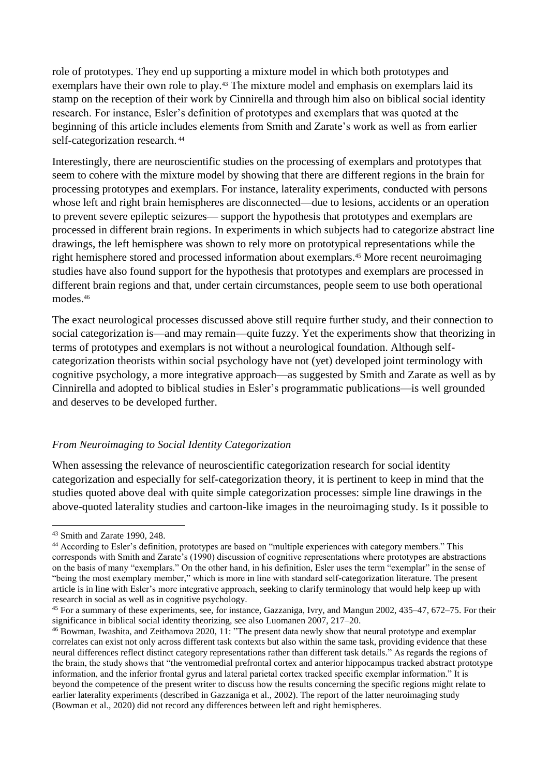role of prototypes. They end up supporting a mixture model in which both prototypes and exemplars have their own role to play.<sup>43</sup> The mixture model and emphasis on exemplars laid its stamp on the reception of their work by Cinnirella and through him also on biblical social identity research. For instance, Esler's definition of prototypes and exemplars that was quoted at the beginning of this article includes elements from Smith and Zarate's work as well as from earlier self-categorization research.  $44$ 

Interestingly, there are neuroscientific studies on the processing of exemplars and prototypes that seem to cohere with the mixture model by showing that there are different regions in the brain for processing prototypes and exemplars. For instance, laterality experiments, conducted with persons whose left and right brain hemispheres are disconnected—due to lesions, accidents or an operation to prevent severe epileptic seizures— support the hypothesis that prototypes and exemplars are processed in different brain regions. In experiments in which subjects had to categorize abstract line drawings, the left hemisphere was shown to rely more on prototypical representations while the right hemisphere stored and processed information about exemplars.<sup>45</sup> More recent neuroimaging studies have also found support for the hypothesis that prototypes and exemplars are processed in different brain regions and that, under certain circumstances, people seem to use both operational modes.<sup>46</sup>

The exact neurological processes discussed above still require further study, and their connection to social categorization is—and may remain—quite fuzzy. Yet the experiments show that theorizing in terms of prototypes and exemplars is not without a neurological foundation. Although selfcategorization theorists within social psychology have not (yet) developed joint terminology with cognitive psychology, a more integrative approach—as suggested by Smith and Zarate as well as by Cinnirella and adopted to biblical studies in Esler's programmatic publications—is well grounded and deserves to be developed further.

#### *From Neuroimaging to Social Identity Categorization*

When assessing the relevance of neuroscientific categorization research for social identity categorization and especially for self-categorization theory, it is pertinent to keep in mind that the studies quoted above deal with quite simple categorization processes: simple line drawings in the above-quoted laterality studies and cartoon-like images in the neuroimaging study. Is it possible to

<u>.</u>

<sup>43</sup> Smith and Zarate 1990, 248.

<sup>&</sup>lt;sup>44</sup> According to Esler's definition, prototypes are based on "multiple experiences with category members." This corresponds with Smith and Zarate's (1990) discussion of cognitive representations where prototypes are abstractions on the basis of many "exemplars." On the other hand, in his definition, Esler uses the term "exemplar" in the sense of "being the most exemplary member," which is more in line with standard self-categorization literature. The present article is in line with Esler's more integrative approach, seeking to clarify terminology that would help keep up with research in social as well as in cognitive psychology.

<sup>45</sup> For a summary of these experiments, see, for instance, Gazzaniga, Ivry, and Mangun 2002, 435–47, 672–75. For their significance in biblical social identity theorizing, see also Luomanen 2007, 217–20.

<sup>&</sup>lt;sup>46</sup> Bowman, Iwashita, and Zeithamova 2020, 11: "The present data newly show that neural prototype and exemplar correlates can exist not only across different task contexts but also within the same task, providing evidence that these neural differences reflect distinct category representations rather than different task details." As regards the regions of the brain, the study shows that "the ventromedial prefrontal cortex and anterior hippocampus tracked abstract prototype information, and the inferior frontal gyrus and lateral parietal cortex tracked specific exemplar information." It is beyond the competence of the present writer to discuss how the results concerning the specific regions might relate to earlier laterality experiments (described in Gazzaniga et al., 2002). The report of the latter neuroimaging study (Bowman et al., 2020) did not record any differences between left and right hemispheres.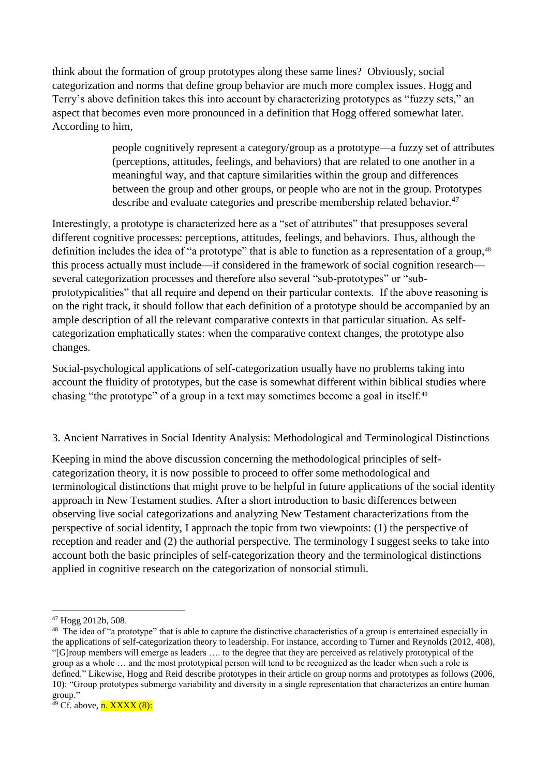think about the formation of group prototypes along these same lines? Obviously, social categorization and norms that define group behavior are much more complex issues. Hogg and Terry's above definition takes this into account by characterizing prototypes as "fuzzy sets," an aspect that becomes even more pronounced in a definition that Hogg offered somewhat later. According to him,

> people cognitively represent a category/group as a prototype—a fuzzy set of attributes (perceptions, attitudes, feelings, and behaviors) that are related to one another in a meaningful way, and that capture similarities within the group and differences between the group and other groups, or people who are not in the group. Prototypes describe and evaluate categories and prescribe membership related behavior.<sup>47</sup>

Interestingly, a prototype is characterized here as a "set of attributes" that presupposes several different cognitive processes: perceptions, attitudes, feelings, and behaviors. Thus, although the definition includes the idea of "a prototype" that is able to function as a representation of a group,<sup>48</sup> this process actually must include—if considered in the framework of social cognition research several categorization processes and therefore also several "sub-prototypes" or "subprototypicalities" that all require and depend on their particular contexts. If the above reasoning is on the right track, it should follow that each definition of a prototype should be accompanied by an ample description of all the relevant comparative contexts in that particular situation. As selfcategorization emphatically states: when the comparative context changes, the prototype also changes.

Social-psychological applications of self-categorization usually have no problems taking into account the fluidity of prototypes, but the case is somewhat different within biblical studies where chasing "the prototype" of a group in a text may sometimes become a goal in itself.<sup>49</sup>

## 3. Ancient Narratives in Social Identity Analysis: Methodological and Terminological Distinctions

Keeping in mind the above discussion concerning the methodological principles of selfcategorization theory, it is now possible to proceed to offer some methodological and terminological distinctions that might prove to be helpful in future applications of the social identity approach in New Testament studies. After a short introduction to basic differences between observing live social categorizations and analyzing New Testament characterizations from the perspective of social identity, I approach the topic from two viewpoints: (1) the perspective of reception and reader and (2) the authorial perspective. The terminology I suggest seeks to take into account both the basic principles of self-categorization theory and the terminological distinctions applied in cognitive research on the categorization of nonsocial stimuli.

<sup>47</sup> Hogg 2012b, 508.

<sup>&</sup>lt;sup>48</sup> The idea of "a prototype" that is able to capture the distinctive characteristics of a group is entertained especially in the applications of self-categorization theory to leadership. For instance, according to Turner and Reynolds (2012, 408), "[G]roup members will emerge as leaders …. to the degree that they are perceived as relatively prototypical of the group as a whole … and the most prototypical person will tend to be recognized as the leader when such a role is defined." Likewise, Hogg and Reid describe prototypes in their article on group norms and prototypes as follows (2006, 10): "Group prototypes submerge variability and diversity in a single representation that characterizes an entire human group."

 $49$  Cf. above,  $n.$  XXXX  $(8)$ :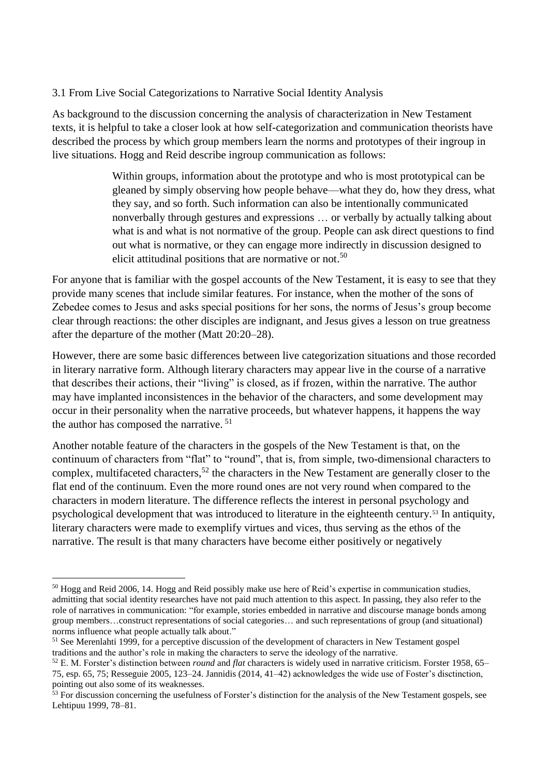#### 3.1 From Live Social Categorizations to Narrative Social Identity Analysis

As background to the discussion concerning the analysis of characterization in New Testament texts, it is helpful to take a closer look at how self-categorization and communication theorists have described the process by which group members learn the norms and prototypes of their ingroup in live situations. Hogg and Reid describe ingroup communication as follows:

> Within groups, information about the prototype and who is most prototypical can be gleaned by simply observing how people behave—what they do, how they dress, what they say, and so forth. Such information can also be intentionally communicated nonverbally through gestures and expressions … or verbally by actually talking about what is and what is not normative of the group. People can ask direct questions to find out what is normative, or they can engage more indirectly in discussion designed to elicit attitudinal positions that are normative or not.<sup>50</sup>

For anyone that is familiar with the gospel accounts of the New Testament, it is easy to see that they provide many scenes that include similar features. For instance, when the mother of the sons of Zebedee comes to Jesus and asks special positions for her sons, the norms of Jesus's group become clear through reactions: the other disciples are indignant, and Jesus gives a lesson on true greatness after the departure of the mother (Matt 20:20–28).

However, there are some basic differences between live categorization situations and those recorded in literary narrative form. Although literary characters may appear live in the course of a narrative that describes their actions, their "living" is closed, as if frozen, within the narrative. The author may have implanted inconsistences in the behavior of the characters, and some development may occur in their personality when the narrative proceeds, but whatever happens, it happens the way the author has composed the narrative. <sup>51</sup>

Another notable feature of the characters in the gospels of the New Testament is that, on the continuum of characters from "flat" to "round", that is, from simple, two-dimensional characters to complex, multifaceted characters,  $52$  the characters in the New Testament are generally closer to the flat end of the continuum. Even the more round ones are not very round when compared to the characters in modern literature. The difference reflects the interest in personal psychology and psychological development that was introduced to literature in the eighteenth century.<sup>53</sup> In antiquity, literary characters were made to exemplify virtues and vices, thus serving as the ethos of the narrative. The result is that many characters have become either positively or negatively

<sup>50</sup> Hogg and Reid 2006, 14. Hogg and Reid possibly make use here of Reid's expertise in communication studies, admitting that social identity researches have not paid much attention to this aspect. In passing, they also refer to the role of narratives in communication: "for example, stories embedded in narrative and discourse manage bonds among group members…construct representations of social categories… and such representations of group (and situational) norms influence what people actually talk about."

<sup>&</sup>lt;sup>51</sup> See Merenlahti 1999, for a perceptive discussion of the development of characters in New Testament gospel traditions and the author's role in making the characters to serve the ideology of the narrative.

<sup>52</sup> E. M. Forster's distinction between *round* and *flat* characters is widely used in narrative criticism. Forster 1958, 65– 75, esp. 65, 75; Resseguie 2005, 123–24. Jannidis (2014, 41–42) acknowledges the wide use of Foster's disctinction, pointing out also some of its weaknesses.

<sup>&</sup>lt;sup>53</sup> For discussion concerning the usefulness of Forster's distinction for the analysis of the New Testament gospels, see Lehtipuu 1999, 78–81.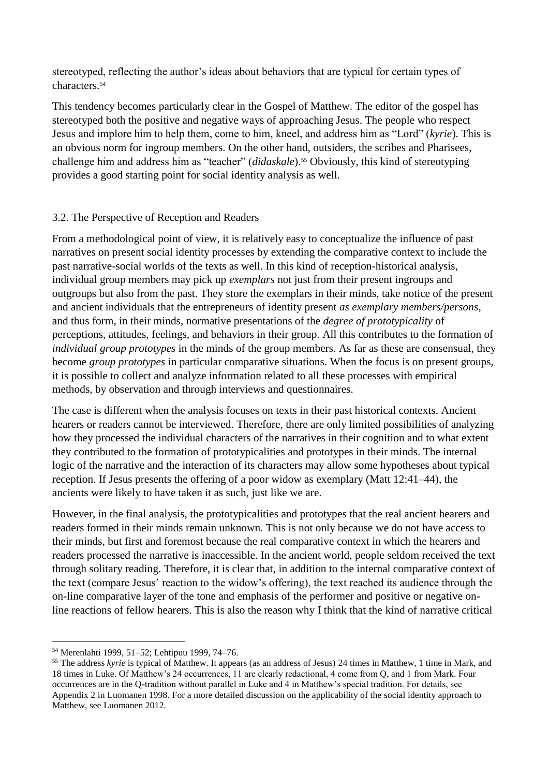stereotyped, reflecting the author's ideas about behaviors that are typical for certain types of characters.<sup>54</sup>

This tendency becomes particularly clear in the Gospel of Matthew. The editor of the gospel has stereotyped both the positive and negative ways of approaching Jesus. The people who respect Jesus and implore him to help them, come to him, kneel, and address him as "Lord" (*kyrie*). This is an obvious norm for ingroup members. On the other hand, outsiders, the scribes and Pharisees, challenge him and address him as "teacher" *(didaskale)*.<sup>55</sup> Obviously, this kind of stereotyping provides a good starting point for social identity analysis as well.

## 3.2. The Perspective of Reception and Readers

From a methodological point of view, it is relatively easy to conceptualize the influence of past narratives on present social identity processes by extending the comparative context to include the past narrative-social worlds of the texts as well. In this kind of reception-historical analysis, individual group members may pick up *exemplars* not just from their present ingroups and outgroups but also from the past. They store the exemplars in their minds, take notice of the present and ancient individuals that the entrepreneurs of identity present *as exemplary members/persons*, and thus form, in their minds, normative presentations of the *degree of prototypicality* of perceptions, attitudes, feelings, and behaviors in their group. All this contributes to the formation of *individual group prototypes* in the minds of the group members. As far as these are consensual, they become *group prototypes* in particular comparative situations. When the focus is on present groups, it is possible to collect and analyze information related to all these processes with empirical methods, by observation and through interviews and questionnaires.

The case is different when the analysis focuses on texts in their past historical contexts. Ancient hearers or readers cannot be interviewed. Therefore, there are only limited possibilities of analyzing how they processed the individual characters of the narratives in their cognition and to what extent they contributed to the formation of prototypicalities and prototypes in their minds. The internal logic of the narrative and the interaction of its characters may allow some hypotheses about typical reception. If Jesus presents the offering of a poor widow as exemplary (Matt 12:41–44), the ancients were likely to have taken it as such, just like we are.

However, in the final analysis, the prototypicalities and prototypes that the real ancient hearers and readers formed in their minds remain unknown. This is not only because we do not have access to their minds, but first and foremost because the real comparative context in which the hearers and readers processed the narrative is inaccessible. In the ancient world, people seldom received the text through solitary reading. Therefore, it is clear that, in addition to the internal comparative context of the text (compare Jesus' reaction to the widow's offering), the text reached its audience through the on-line comparative layer of the tone and emphasis of the performer and positive or negative online reactions of fellow hearers. This is also the reason why I think that the kind of narrative critical

<sup>54</sup> Merenlahti 1999, 51–52; Lehtipuu 1999, 74–76.

<sup>&</sup>lt;sup>55</sup> The address *kyrie* is typical of Matthew. It appears (as an address of Jesus) 24 times in Matthew, 1 time in Mark, and 18 times in Luke. Of Matthew's 24 occurrences, 11 are clearly redactional, 4 come from Q, and 1 from Mark. Four occurrences are in the Q-tradition without parallel in Luke and 4 in Matthew's special tradition. For details, see Appendix 2 in Luomanen 1998. For a more detailed discussion on the applicability of the social identity approach to Matthew, see Luomanen 2012.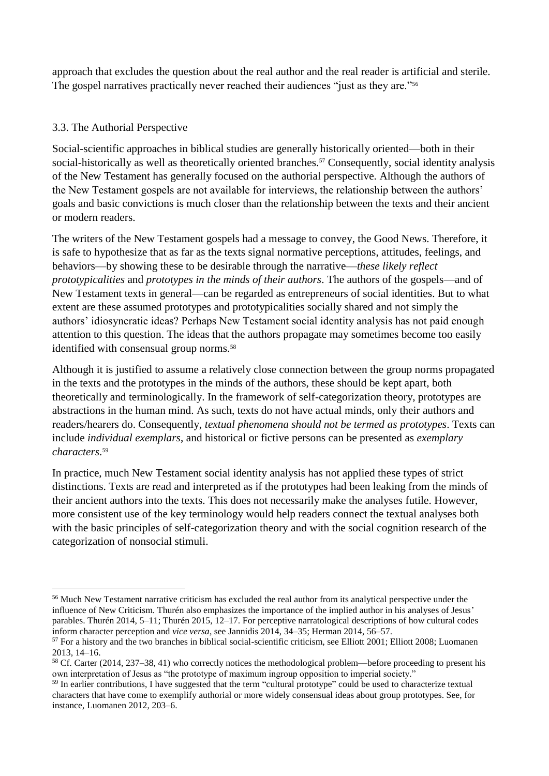approach that excludes the question about the real author and the real reader is artificial and sterile. The gospel narratives practically never reached their audiences "just as they are."<sup>56</sup>

## 3.3. The Authorial Perspective

<u>.</u>

Social-scientific approaches in biblical studies are generally historically oriented—both in their social-historically as well as theoretically oriented branches.<sup>57</sup> Consequently, social identity analysis of the New Testament has generally focused on the authorial perspective. Although the authors of the New Testament gospels are not available for interviews, the relationship between the authors' goals and basic convictions is much closer than the relationship between the texts and their ancient or modern readers.

The writers of the New Testament gospels had a message to convey, the Good News. Therefore, it is safe to hypothesize that as far as the texts signal normative perceptions, attitudes, feelings, and behaviors—by showing these to be desirable through the narrative—*these likely reflect prototypicalities* and *prototypes in the minds of their authors*. The authors of the gospels—and of New Testament texts in general—can be regarded as entrepreneurs of social identities. But to what extent are these assumed prototypes and prototypicalities socially shared and not simply the authors' idiosyncratic ideas? Perhaps New Testament social identity analysis has not paid enough attention to this question. The ideas that the authors propagate may sometimes become too easily identified with consensual group norms.<sup>58</sup>

Although it is justified to assume a relatively close connection between the group norms propagated in the texts and the prototypes in the minds of the authors, these should be kept apart, both theoretically and terminologically. In the framework of self-categorization theory, prototypes are abstractions in the human mind. As such, texts do not have actual minds, only their authors and readers/hearers do. Consequently, *textual phenomena should not be termed as prototypes*. Texts can include *individual exemplars*, and historical or fictive persons can be presented as *exemplary characters*. 59

In practice, much New Testament social identity analysis has not applied these types of strict distinctions. Texts are read and interpreted as if the prototypes had been leaking from the minds of their ancient authors into the texts. This does not necessarily make the analyses futile. However, more consistent use of the key terminology would help readers connect the textual analyses both with the basic principles of self-categorization theory and with the social cognition research of the categorization of nonsocial stimuli.

<sup>56</sup> Much New Testament narrative criticism has excluded the real author from its analytical perspective under the influence of New Criticism. Thurén also emphasizes the importance of the implied author in his analyses of Jesus' parables. Thurén 2014, 5–11; Thurén 2015, 12–17. For perceptive narratological descriptions of how cultural codes inform character perception and *vice versa*, see Jannidis 2014, 34–35; Herman 2014, 56–57.

 $<sup>57</sup>$  For a history and the two branches in biblical social-scientific criticism, see Elliott 2001; Elliott 2008; Luomanen</sup> 2013, 14–16.

<sup>&</sup>lt;sup>58</sup> Cf. Carter (2014, 237–38, 41) who correctly notices the methodological problem—before proceeding to present his own interpretation of Jesus as "the prototype of maximum ingroup opposition to imperial society."

<sup>&</sup>lt;sup>59</sup> In earlier contributions, I have suggested that the term "cultural prototype" could be used to characterize textual characters that have come to exemplify authorial or more widely consensual ideas about group prototypes. See, for instance, Luomanen 2012, 203–6.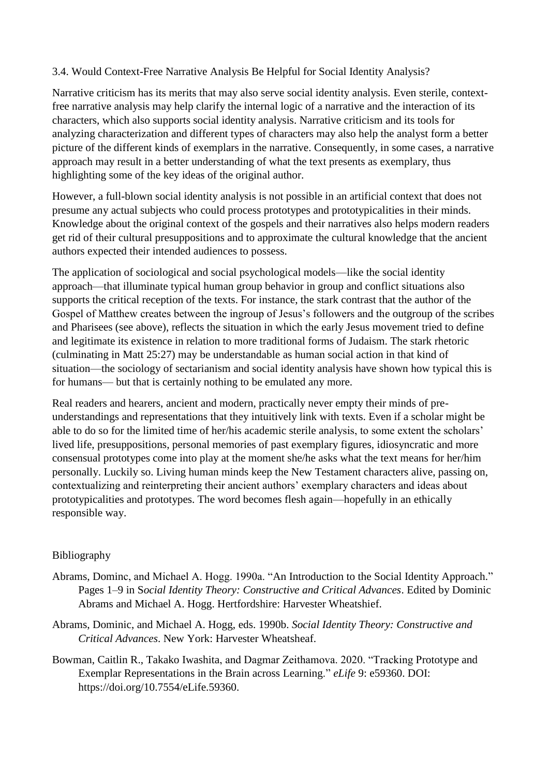## 3.4. Would Context-Free Narrative Analysis Be Helpful for Social Identity Analysis?

Narrative criticism has its merits that may also serve social identity analysis. Even sterile, contextfree narrative analysis may help clarify the internal logic of a narrative and the interaction of its characters, which also supports social identity analysis. Narrative criticism and its tools for analyzing characterization and different types of characters may also help the analyst form a better picture of the different kinds of exemplars in the narrative. Consequently, in some cases, a narrative approach may result in a better understanding of what the text presents as exemplary, thus highlighting some of the key ideas of the original author.

However, a full-blown social identity analysis is not possible in an artificial context that does not presume any actual subjects who could process prototypes and prototypicalities in their minds. Knowledge about the original context of the gospels and their narratives also helps modern readers get rid of their cultural presuppositions and to approximate the cultural knowledge that the ancient authors expected their intended audiences to possess.

The application of sociological and social psychological models—like the social identity approach—that illuminate typical human group behavior in group and conflict situations also supports the critical reception of the texts. For instance, the stark contrast that the author of the Gospel of Matthew creates between the ingroup of Jesus's followers and the outgroup of the scribes and Pharisees (see above), reflects the situation in which the early Jesus movement tried to define and legitimate its existence in relation to more traditional forms of Judaism. The stark rhetoric (culminating in Matt 25:27) may be understandable as human social action in that kind of situation—the sociology of sectarianism and social identity analysis have shown how typical this is for humans— but that is certainly nothing to be emulated any more.

Real readers and hearers, ancient and modern, practically never empty their minds of preunderstandings and representations that they intuitively link with texts. Even if a scholar might be able to do so for the limited time of her/his academic sterile analysis, to some extent the scholars' lived life, presuppositions, personal memories of past exemplary figures, idiosyncratic and more consensual prototypes come into play at the moment she/he asks what the text means for her/him personally. Luckily so. Living human minds keep the New Testament characters alive, passing on, contextualizing and reinterpreting their ancient authors' exemplary characters and ideas about prototypicalities and prototypes. The word becomes flesh again—hopefully in an ethically responsible way.

## Bibliography

- Abrams, Dominc, and Michael A. Hogg. 1990a. "An Introduction to the Social Identity Approach." Pages 1–9 in S*ocial Identity Theory: Constructive and Critical Advances*. Edited by Dominic Abrams and Michael A. Hogg. Hertfordshire: Harvester Wheatshief.
- Abrams, Dominic, and Michael A. Hogg, eds. 1990b. *Social Identity Theory: Constructive and Critical Advances*. New York: Harvester Wheatsheaf.
- Bowman, Caitlin R., Takako Iwashita, and Dagmar Zeithamova. 2020. "Tracking Prototype and Exemplar Representations in the Brain across Learning." *eLife* 9: e59360. DOI: https://doi.org/10.7554/eLife.59360.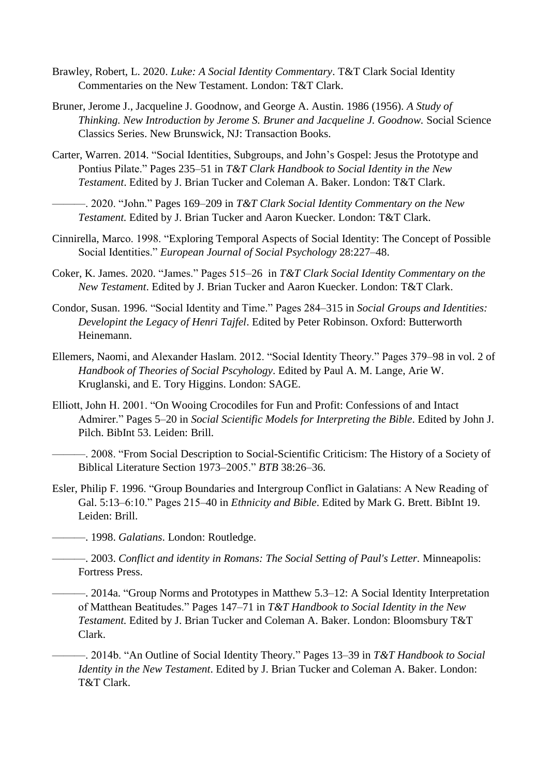- Brawley, Robert, L. 2020. *Luke: A Social Identity Commentary*. T&T Clark Social Identity Commentaries on the New Testament. London: T&T Clark.
- Bruner, Jerome J., Jacqueline J. Goodnow, and George A. Austin. 1986 (1956). *A Study of Thinking. New Introduction by Jerome S. Bruner and Jacqueline J. Goodnow.* Social Science Classics Series. New Brunswick, NJ: Transaction Books.
- Carter, Warren. 2014. "Social Identities, Subgroups, and John's Gospel: Jesus the Prototype and Pontius Pilate." Pages 235–51 in *T&T Clark Handbook to Social Identity in the New Testament*. Edited by J. Brian Tucker and Coleman A. Baker. London: T&T Clark.

———. 2020. "John." Pages 169–209 in *T&T Clark Social Identity Commentary on the New Testament.* Edited by J. Brian Tucker and Aaron Kuecker. London: T&T Clark.

- Cinnirella, Marco. 1998. "Exploring Temporal Aspects of Social Identity: The Concept of Possible Social Identities." *European Journal of Social Psychology* 28:227–48.
- Coker, K. James. 2020. "James." Pages 515–26 in *T&T Clark Social Identity Commentary on the New Testament*. Edited by J. Brian Tucker and Aaron Kuecker. London: T&T Clark.
- Condor, Susan. 1996. "Social Identity and Time." Pages 284–315 in *Social Groups and Identities: Developint the Legacy of Henri Tajfel*. Edited by Peter Robinson. Oxford: Butterworth Heinemann.
- Ellemers, Naomi, and Alexander Haslam. 2012. "Social Identity Theory." Pages 379–98 in vol. 2 of *Handbook of Theories of Social Pscyhology*. Edited by Paul A. M. Lange, Arie W. Kruglanski, and E. Tory Higgins. London: SAGE.
- Elliott, John H. 2001. "On Wooing Crocodiles for Fun and Profit: Confessions of and Intact Admirer." Pages 5–20 in *Social Scientific Models for Interpreting the Bible*. Edited by John J. Pilch. BibInt 53. Leiden: Brill.
- ———. 2008. "From Social Description to Social-Scientific Criticism: The History of a Society of Biblical Literature Section 1973–2005." *BTB* 38:26–36.
- Esler, Philip F. 1996. "Group Boundaries and Intergroup Conflict in Galatians: A New Reading of Gal. 5:13–6:10." Pages 215–40 in *Ethnicity and Bible*. Edited by Mark G. Brett. BibInt 19. Leiden: Brill.
- ———. 1998. *Galatians*. London: Routledge.
	- ———. 2003. *Conflict and identity in Romans: The Social Setting of Paul's Letter.* Minneapolis: Fortress Press.
	- ———. 2014a. "Group Norms and Prototypes in Matthew 5.3–12: A Social Identity Interpretation of Matthean Beatitudes." Pages 147–71 in *T&T Handbook to Social Identity in the New Testament.* Edited by J. Brian Tucker and Coleman A. Baker. London: Bloomsbury T&T Clark.
	- ———. 2014b. "An Outline of Social Identity Theory." Pages 13–39 in *T&T Handbook to Social Identity in the New Testament*. Edited by J. Brian Tucker and Coleman A. Baker. London: T&T Clark.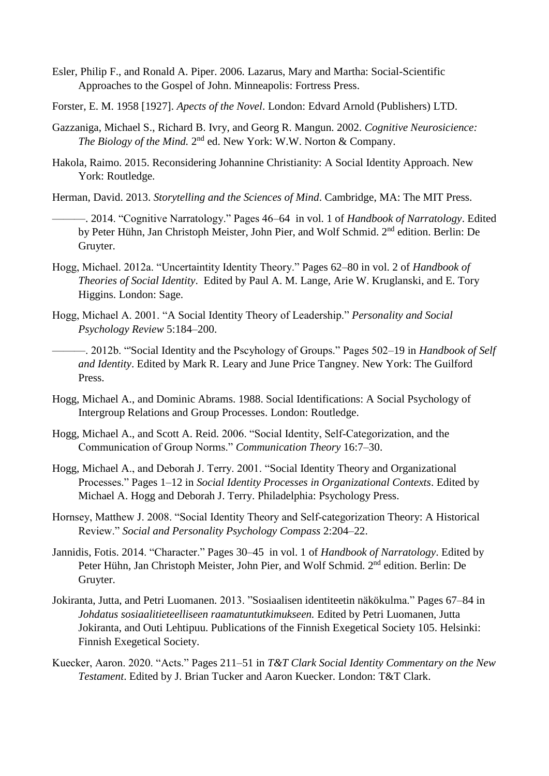- Esler, Philip F., and Ronald A. Piper. 2006. Lazarus, Mary and Martha: Social-Scientific Approaches to the Gospel of John. Minneapolis: Fortress Press.
- Forster, E. M. 1958 [1927]. *Apects of the Novel*. London: Edvard Arnold (Publishers) LTD.
- Gazzaniga, Michael S., Richard B. Ivry, and Georg R. Mangun. 2002. *Cognitive Neurosicience:*  The Biology of the Mind. 2<sup>nd</sup> ed. New York: W.W. Norton & Company.
- Hakola, Raimo. 2015. Reconsidering Johannine Christianity: A Social Identity Approach. New York: Routledge.
- Herman, David. 2013. *Storytelling and the Sciences of Mind*. Cambridge, MA: The MIT Press.
	- ———. 2014. "Cognitive Narratology." Pages 46–64 in vol. 1 of *Handbook of Narratology*. Edited by Peter Hühn, Jan Christoph Meister, John Pier, and Wolf Schmid. 2nd edition. Berlin: De Gruyter.
- Hogg, Michael. 2012a. "Uncertaintity Identity Theory." Pages 62–80 in vol. 2 of *Handbook of Theories of Social Identity*. Edited by Paul A. M. Lange, Arie W. Kruglanski, and E. Tory Higgins. London: Sage.
- Hogg, Michael A. 2001. "A Social Identity Theory of Leadership." *Personality and Social Psychology Review* 5:184–200.
	- ———. 2012b. "'Social Identity and the Pscyhology of Groups." Pages 502–19 in *Handbook of Self and Identity*. Edited by Mark R. Leary and June Price Tangney. New York: The Guilford Press.
- Hogg, Michael A., and Dominic Abrams. 1988. Social Identifications: A Social Psychology of Intergroup Relations and Group Processes. London: Routledge.
- Hogg, Michael A., and Scott A. Reid. 2006. "Social Identity, Self‐Categorization, and the Communication of Group Norms." *Communication Theory* 16:7–30.
- Hogg, Michael A., and Deborah J. Terry. 2001. "Social Identity Theory and Organizational Processes." Pages 1–12 in *Social Identity Processes in Organizational Contexts*. Edited by Michael A. Hogg and Deborah J. Terry. Philadelphia: Psychology Press.
- Hornsey, Matthew J. 2008. "Social Identity Theory and Self‐categorization Theory: A Historical Review." *Social and Personality Psychology Compass* 2:204–22.
- Jannidis, Fotis. 2014. "Character." Pages 30–45 in vol. 1 of *Handbook of Narratology*. Edited by Peter Hühn, Jan Christoph Meister, John Pier, and Wolf Schmid. 2<sup>nd</sup> edition. Berlin: De Gruyter.
- Jokiranta, Jutta, and Petri Luomanen. 2013. "Sosiaalisen identiteetin näkökulma." Pages 67–84 in *Johdatus sosiaalitieteelliseen raamatuntutkimukseen.* Edited by Petri Luomanen, Jutta Jokiranta, and Outi Lehtipuu. Publications of the Finnish Exegetical Society 105. Helsinki: Finnish Exegetical Society.
- Kuecker, Aaron. 2020. "Acts." Pages 211–51 in *T&T Clark Social Identity Commentary on the New Testament*. Edited by J. Brian Tucker and Aaron Kuecker. London: T&T Clark.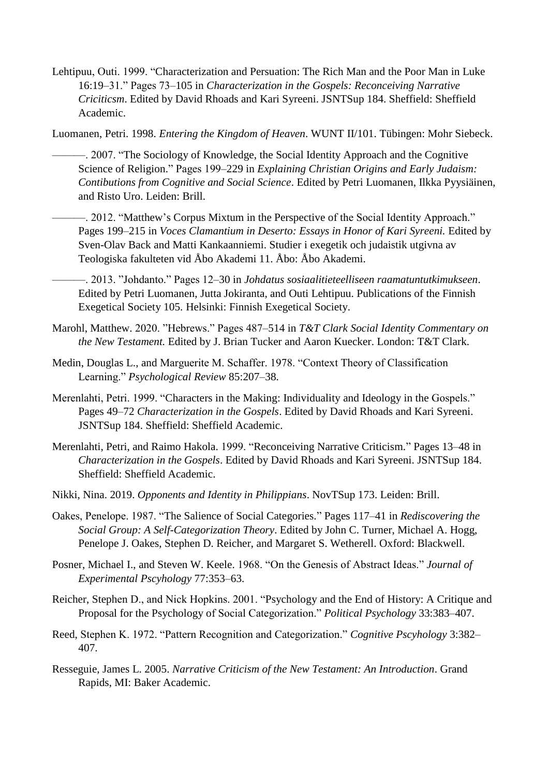Lehtipuu, Outi. 1999. "Characterization and Persuation: The Rich Man and the Poor Man in Luke 16:19–31." Pages 73–105 in *Characterization in the Gospels: Reconceiving Narrative Criciticsm*. Edited by David Rhoads and Kari Syreeni. JSNTSup 184. Sheffield: Sheffield Academic.

Luomanen, Petri. 1998. *Entering the Kingdom of Heaven*. WUNT II/101. Tübingen: Mohr Siebeck.

- ———. 2007. "The Sociology of Knowledge, the Social Identity Approach and the Cognitive Science of Religion." Pages 199–229 in *Explaining Christian Origins and Early Judaism: Contibutions from Cognitive and Social Science*. Edited by Petri Luomanen, Ilkka Pyysiäinen, and Risto Uro. Leiden: Brill.
- ———. 2012. "Matthew's Corpus Mixtum in the Perspective of the Social Identity Approach." Pages 199-215 in *Voces Clamantium in Deserto: Essays in Honor of Kari Syreeni*. Edited by Sven-Olav Back and Matti Kankaanniemi. Studier i exegetik och judaistik utgivna av Teologiska fakulteten vid Åbo Akademi 11. Åbo: Åbo Akademi.
- ———. 2013. "Johdanto." Pages 12–30 in *Johdatus sosiaalitieteelliseen raamatuntutkimukseen*. Edited by Petri Luomanen, Jutta Jokiranta, and Outi Lehtipuu. Publications of the Finnish Exegetical Society 105. Helsinki: Finnish Exegetical Society.
- Marohl, Matthew. 2020. "Hebrews." Pages 487–514 in *T&T Clark Social Identity Commentary on the New Testament.* Edited by J. Brian Tucker and Aaron Kuecker. London: T&T Clark.
- Medin, Douglas L., and Marguerite M. Schaffer. 1978. "Context Theory of Classification Learning." *Psychological Review* 85:207–38.
- Merenlahti, Petri. 1999. "Characters in the Making: Individuality and Ideology in the Gospels." Pages 49–72 *Characterization in the Gospels*. Edited by David Rhoads and Kari Syreeni. JSNTSup 184. Sheffield: Sheffield Academic.
- Merenlahti, Petri, and Raimo Hakola. 1999. "Reconceiving Narrative Criticism." Pages 13–48 in *Characterization in the Gospels*. Edited by David Rhoads and Kari Syreeni. JSNTSup 184. Sheffield: Sheffield Academic.
- Nikki, Nina. 2019. *Opponents and Identity in Philippians*. NovTSup 173. Leiden: Brill.
- Oakes, Penelope. 1987. "The Salience of Social Categories." Pages 117–41 in *Rediscovering the Social Group: A Self-Categorization Theory*. Edited by John C. Turner, Michael A. Hogg, Penelope J. Oakes, Stephen D. Reicher, and Margaret S. Wetherell. Oxford: Blackwell.
- Posner, Michael I., and Steven W. Keele. 1968. "On the Genesis of Abstract Ideas." *Journal of Experimental Pscyhology* 77:353–63.
- Reicher, Stephen D., and Nick Hopkins. 2001. "Psychology and the End of History: A Critique and Proposal for the Psychology of Social Categorization." *Political Psychology* 33:383–407.
- Reed, Stephen K. 1972. "Pattern Recognition and Categorization." *Cognitive Pscyhology* 3:382– 407.
- Resseguie, James L. 2005. *Narrative Criticism of the New Testament: An Introduction*. Grand Rapids, MI: Baker Academic.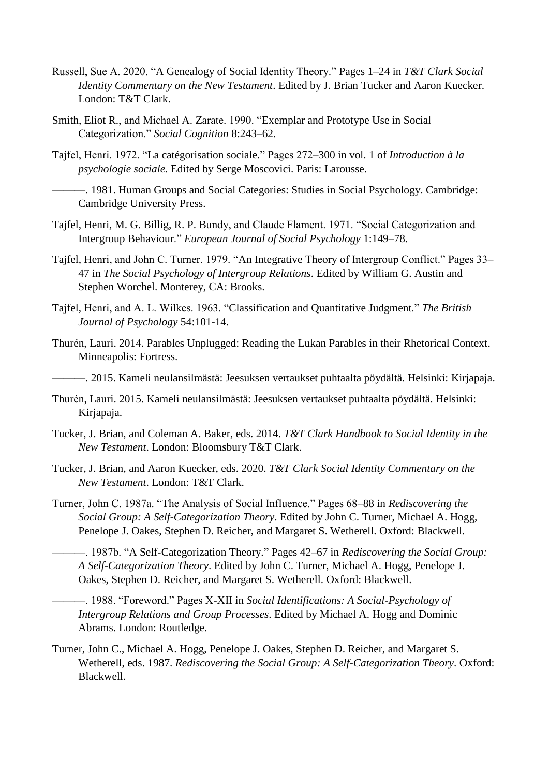- Russell, Sue A. 2020. "A Genealogy of Social Identity Theory." Pages 1–24 in *T&T Clark Social Identity Commentary on the New Testament*. Edited by J. Brian Tucker and Aaron Kuecker. London: T&T Clark.
- Smith, Eliot R., and Michael A. Zarate. 1990. "Exemplar and Prototype Use in Social Categorization." *Social Cognition* 8:243–62.
- Tajfel, Henri. 1972. "La catégorisation sociale." Pages 272–300 in vol. 1 of *Introduction à la psychologie sociale.* Edited by Serge Moscovici. Paris: Larousse.
- ———. 1981. Human Groups and Social Categories: Studies in Social Psychology. Cambridge: Cambridge University Press.
- Tajfel, Henri, M. G. Billig, R. P. Bundy, and Claude Flament. 1971. "Social Categorization and Intergroup Behaviour." *European Journal of Social Psychology* 1:149–78.
- Tajfel, Henri, and John C. Turner. 1979. "An Integrative Theory of Intergroup Conflict." Pages 33– 47 in *The Social Psychology of Intergroup Relations*. Edited by William G. Austin and Stephen Worchel. Monterey, CA: Brooks.
- Tajfel, Henri, and A. L. Wilkes. 1963. "Classification and Quantitative Judgment." *The British Journal of Psychology* 54:101-14.
- Thurén, Lauri. 2014. Parables Unplugged: Reading the Lukan Parables in their Rhetorical Context. Minneapolis: Fortress.

———. 2015. Kameli neulansilmästä: Jeesuksen vertaukset puhtaalta pöydältä. Helsinki: Kirjapaja.

- Thurén, Lauri. 2015. Kameli neulansilmästä: Jeesuksen vertaukset puhtaalta pöydältä. Helsinki: Kirjapaja.
- Tucker, J. Brian, and Coleman A. Baker, eds. 2014. *T&T Clark Handbook to Social Identity in the New Testament*. London: Bloomsbury T&T Clark.
- Tucker, J. Brian, and Aaron Kuecker, eds. 2020. *T&T Clark Social Identity Commentary on the New Testament*. London: T&T Clark.
- Turner, John C. 1987a. "The Analysis of Social Influence." Pages 68–88 in *Rediscovering the Social Group: A Self-Categorization Theory*. Edited by John C. Turner, Michael A. Hogg, Penelope J. Oakes, Stephen D. Reicher, and Margaret S. Wetherell. Oxford: Blackwell.
- ———. 1987b. "A Self-Categorization Theory." Pages 42–67 in *Rediscovering the Social Group: A Self-Categorization Theory*. Edited by John C. Turner, Michael A. Hogg, Penelope J. Oakes, Stephen D. Reicher, and Margaret S. Wetherell. Oxford: Blackwell.
	- ———. 1988. "Foreword." Pages X-XII in *Social Identifications: A Social-Psychology of Intergroup Relations and Group Processes*. Edited by Michael A. Hogg and Dominic Abrams. London: Routledge.
- Turner, John C., Michael A. Hogg, Penelope J. Oakes, Stephen D. Reicher, and Margaret S. Wetherell, eds. 1987. *Rediscovering the Social Group: A Self-Categorization Theory*. Oxford: Blackwell.